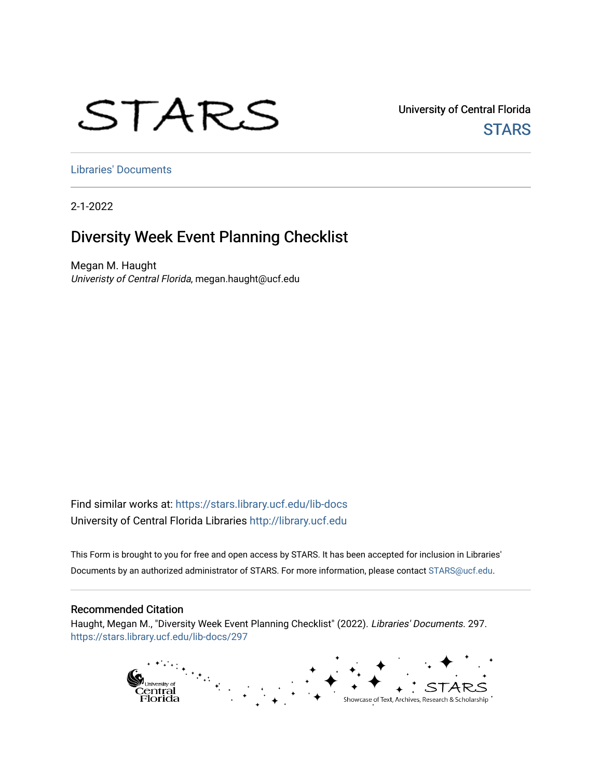# STARS

University of Central Florida **STARS** 

[Libraries' Documents](https://stars.library.ucf.edu/lib-docs) 

2-1-2022

#### Diversity Week Event Planning Checklist

Megan M. Haught Univeristy of Central Florida, megan.haught@ucf.edu

Find similar works at: <https://stars.library.ucf.edu/lib-docs> University of Central Florida Libraries [http://library.ucf.edu](http://library.ucf.edu/) 

This Form is brought to you for free and open access by STARS. It has been accepted for inclusion in Libraries' Documents by an authorized administrator of STARS. For more information, please contact [STARS@ucf.edu](mailto:STARS@ucf.edu).

#### Recommended Citation

Haught, Megan M., "Diversity Week Event Planning Checklist" (2022). Libraries' Documents. 297. [https://stars.library.ucf.edu/lib-docs/297](https://stars.library.ucf.edu/lib-docs/297?utm_source=stars.library.ucf.edu%2Flib-docs%2F297&utm_medium=PDF&utm_campaign=PDFCoverPages)

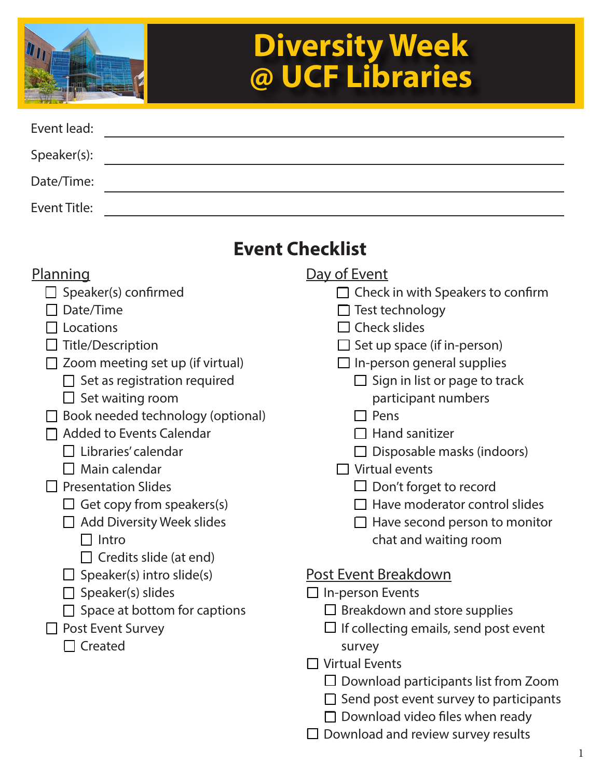

# **Diversity Week @ UCF Libraries**

| Event lead:  |  |
|--------------|--|
| Speaker(s):  |  |
| Date/Time:   |  |
| Event Title: |  |

# **Event Checklist**

#### **Planning**

- $\Box$  Speaker(s) confirmed
- $\Box$  Date/Time
- $\Pi$  Locations
- $\Box$  Title/Description
- $\Box$  Zoom meeting set up (if virtual)
	- $\Box$  Set as registration required
		- $\Box$  Set waiting room
- $\Box$  Book needed technology (optional)
- $\Pi$  Added to Events Calendar
	- $\Box$  Libraries' calendar
	- $\Box$  Main calendar
- $\Box$  Presentation Slides
	- $\Box$  Get copy from speakers(s)
	- Add Diversity Week slides
		- $\Box$  Intro
		- $\Box$  Credits slide (at end)
	- $\Box$  Speaker(s) intro slide(s)
	- $\Box$  Speaker(s) slides
	- $\Box$  Space at bottom for captions
- □ Post Event Survey
	- $\Box$  Created
- Day of Event
	- $\Box$  Check in with Speakers to confirm
	- $\Box$  Test technology
	- $\Box$  Check slides
	- $\square$  Set up space (if in-person)
	- $\Box$  In-person general supplies
		- $\Box$  Sign in list or page to track participant numbers
		- $\Box$  Pens
			- $\Box$  Hand sanitizer
		- $\Box$  Disposable masks (indoors)
	- $\Box$  Virtual events
		- $\Box$  Don't forget to record
		- $\Box$  Have moderator control slides
		- $\Box$  Have second person to monitor chat and waiting room

#### Post Event Breakdown

- $\Box$  In-person Events
	- $\Box$  Breakdown and store supplies
	- $\Box$  If collecting emails, send post event survey
- $\Box$  Virtual Events
	- $\square$  Download participants list from Zoom
	- $\Box$  Send post event survey to participants
	- $\Box$  Download video files when ready
- $\Box$  Download and review survey results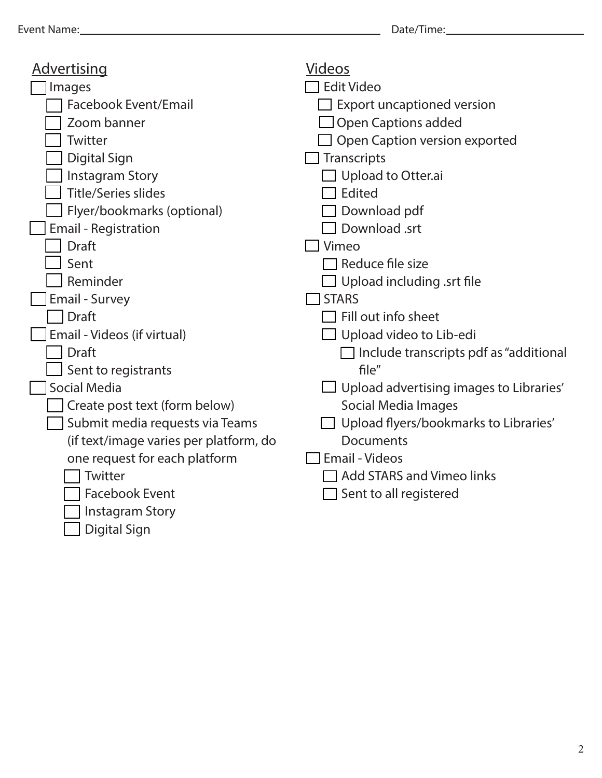| <u>Advertising</u>                     | <b>Videos</b>                                  |
|----------------------------------------|------------------------------------------------|
| Images                                 | <b>Edit Video</b>                              |
| <b>Facebook Event/Email</b>            | <b>Export uncaptioned version</b>              |
| Zoom banner                            | <b>Open Captions added</b>                     |
| Twitter                                | Open Caption version exported                  |
| Digital Sign                           | Transcripts                                    |
| <b>Instagram Story</b>                 | Upload to Otter.ai                             |
| <b>Title/Series slides</b>             | Edited                                         |
| Flyer/bookmarks (optional)             | Download pdf                                   |
| <b>Email - Registration</b>            | Download .srt                                  |
| <b>Draft</b>                           | $\Box$ Vimeo                                   |
| Sent                                   | $\Box$ Reduce file size                        |
| Reminder                               | $\Box$ Upload including .srt file              |
| <b>Email - Survey</b>                  | $\Box$ STARS                                   |
| <b>Draft</b>                           | Fill out info sheet                            |
| Email - Videos (if virtual)            | $\Box$ Upload video to Lib-edi                 |
| <b>Draft</b>                           | $\Box$ Include transcripts pdf as "additional  |
| Sent to registrants                    | file''                                         |
| <b>Social Media</b>                    | $\Box$ Upload advertising images to Libraries' |
| Create post text (form below)          | Social Media Images                            |
| Submit media requests via Teams        | $\Box$ Upload flyers/bookmarks to Libraries'   |
| (if text/image varies per platform, do | <b>Documents</b>                               |
| one request for each platform          | <b>Email - Videos</b>                          |
| Twitter                                | $\Box$ Add STARS and Vimeo links               |
| <b>Facebook Event</b>                  | Sent to all registered                         |
| <b>Instagram Story</b>                 |                                                |
| <b>Digital Sign</b>                    |                                                |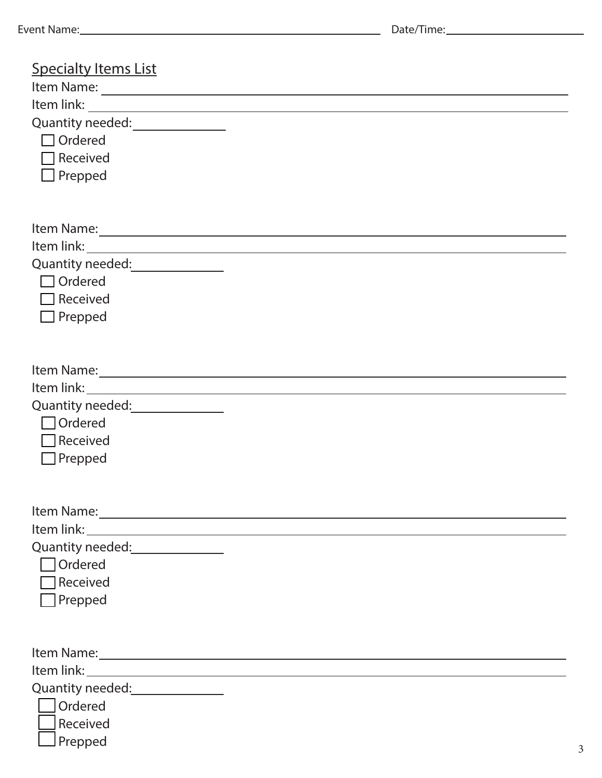| <b>Specialty Items List</b>                                                                                                                                                                                                    |
|--------------------------------------------------------------------------------------------------------------------------------------------------------------------------------------------------------------------------------|
|                                                                                                                                                                                                                                |
|                                                                                                                                                                                                                                |
| Quantity needed: _______________                                                                                                                                                                                               |
| $\Box$ Ordered                                                                                                                                                                                                                 |
| $\Box$ Received                                                                                                                                                                                                                |
| $\Box$ Prepped                                                                                                                                                                                                                 |
|                                                                                                                                                                                                                                |
|                                                                                                                                                                                                                                |
|                                                                                                                                                                                                                                |
|                                                                                                                                                                                                                                |
|                                                                                                                                                                                                                                |
| $\Box$ Ordered                                                                                                                                                                                                                 |
| $\Box$ Received                                                                                                                                                                                                                |
| $\Box$ Prepped                                                                                                                                                                                                                 |
|                                                                                                                                                                                                                                |
|                                                                                                                                                                                                                                |
| Item Name: 1988 and 1988 and 1988 and 1988 and 1988 and 1988 and 1988 and 1988 and 1988 and 1988 and 1988 and 1988 and 1988 and 1988 and 1988 and 1988 and 1988 and 1988 and 1988 and 1988 and 1988 and 1988 and 1988 and 1988 |
|                                                                                                                                                                                                                                |
|                                                                                                                                                                                                                                |
| $\Box$ Ordered                                                                                                                                                                                                                 |
| $\Box$ Received                                                                                                                                                                                                                |
| $\Box$ Prepped                                                                                                                                                                                                                 |
|                                                                                                                                                                                                                                |
|                                                                                                                                                                                                                                |
|                                                                                                                                                                                                                                |
|                                                                                                                                                                                                                                |
| Quantity needed: National Property of August 2012                                                                                                                                                                              |
| Ordered                                                                                                                                                                                                                        |
| $\Box$ Received                                                                                                                                                                                                                |
| Prepped                                                                                                                                                                                                                        |
|                                                                                                                                                                                                                                |
|                                                                                                                                                                                                                                |
| Item Name: 1988 and 1988 and 1988 and 1988 and 1988 and 1988 and 1988 and 1988 and 1988 and 1988 and 1988 and 1988 and 1988 and 1988 and 1988 and 1988 and 1988 and 1988 and 1988 and 1988 and 1988 and 1988 and 1988 and 1988 |
|                                                                                                                                                                                                                                |
| Quantity needed: 2000                                                                                                                                                                                                          |
| Ordered                                                                                                                                                                                                                        |
| Received                                                                                                                                                                                                                       |
| Prepped                                                                                                                                                                                                                        |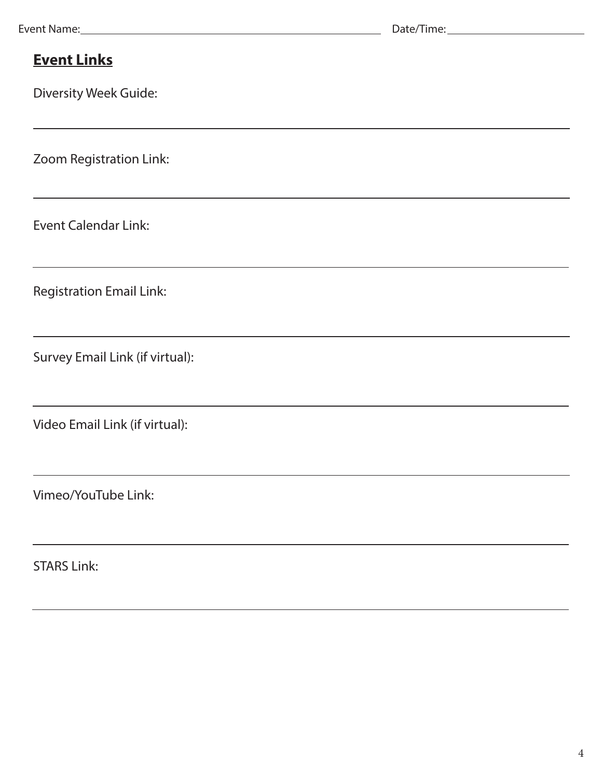#### **Event Links**

Diversity Week Guide:

Zoom Registration Link:

Event Calendar Link:

Registration Email Link:

Survey Email Link (if virtual):

Video Email Link (if virtual):

Vimeo/YouTube Link:

STARS Link: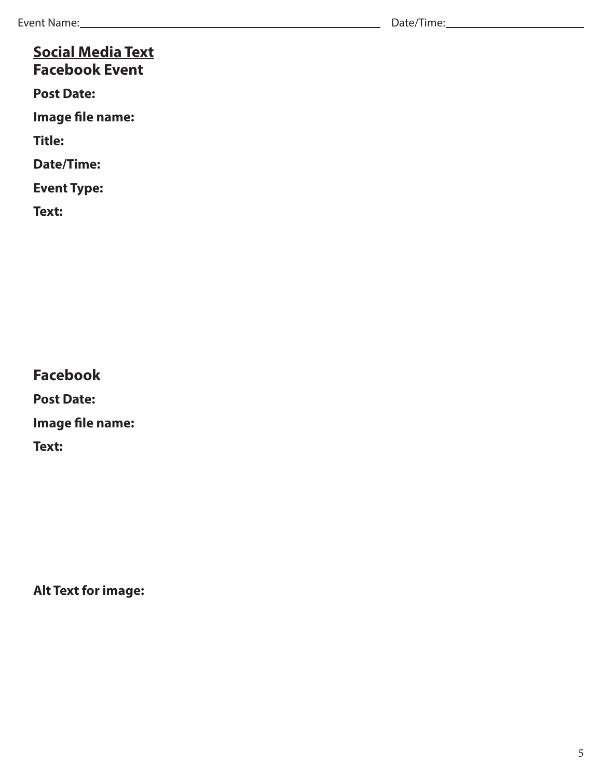#### **Social Media Text Facebook Event**

**Post Date:** 

**Image file name:** 

**Title:** 

**Date/Time:** 

**Event Type:** 

**Text:**

**Facebook**

**Post Date:** 

**Image file name:** 

**Text:**

**Alt Text for image:**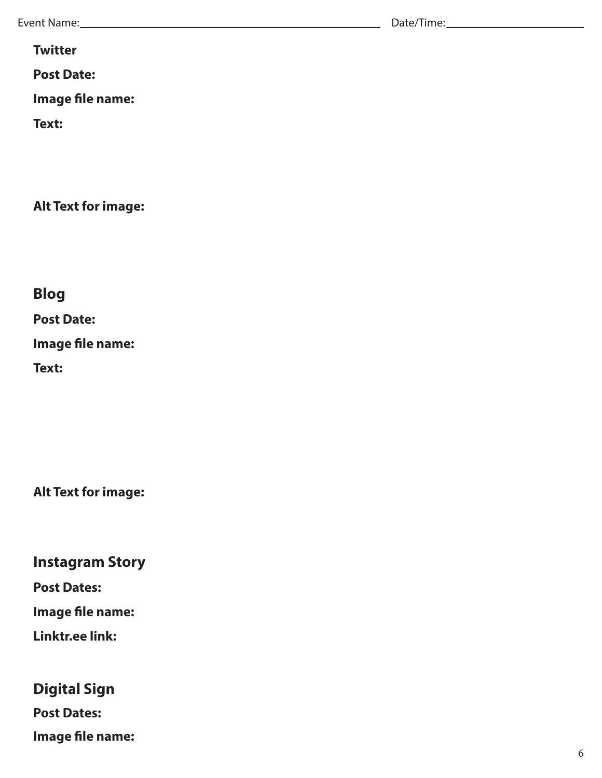Event Name: Date/Time:

**Twitter**

**Post Date:** 

**Image file name:** 

**Text:**

**Alt Text for image:**

**Blog**

**Post Date:** 

**Image file name:** 

**Text:**

**Alt Text for image:**

**Instagram Story**

**Post Dates:** 

**Image file name:** 

**Linktr.ee link:**

# **Digital Sign**

**Post Dates:** 

**Image file name:**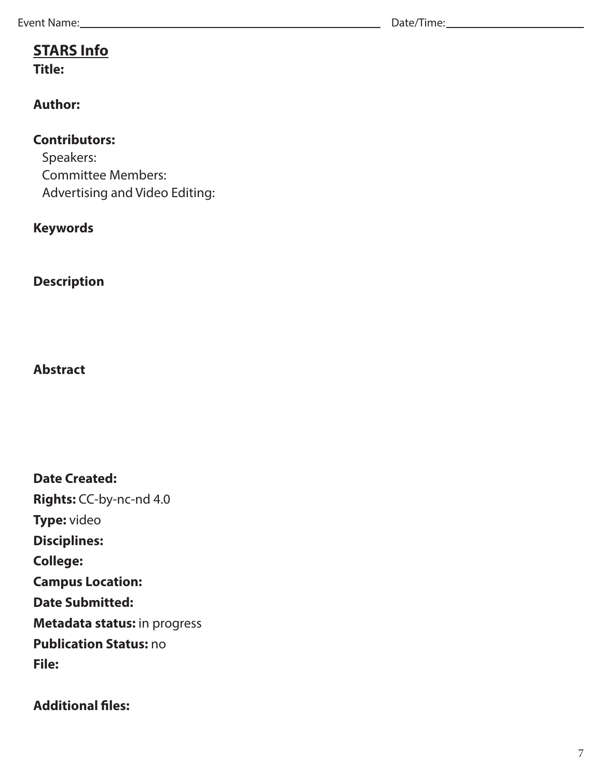Event Name: Date/Time:

# **STARS Info**

**Title:** 

#### **Author:**

#### **Contributors:**

Speakers: Committee Members: Advertising and Video Editing:

#### **Keywords**

**Description**

#### **Abstract**

**Date Created: Rights:** CC-by-nc-nd 4.0 **Type:** video **Disciplines: College: Campus Location: Date Submitted: Metadata status:** in progress **Publication Status:** no **File:** 

#### **Additional files:**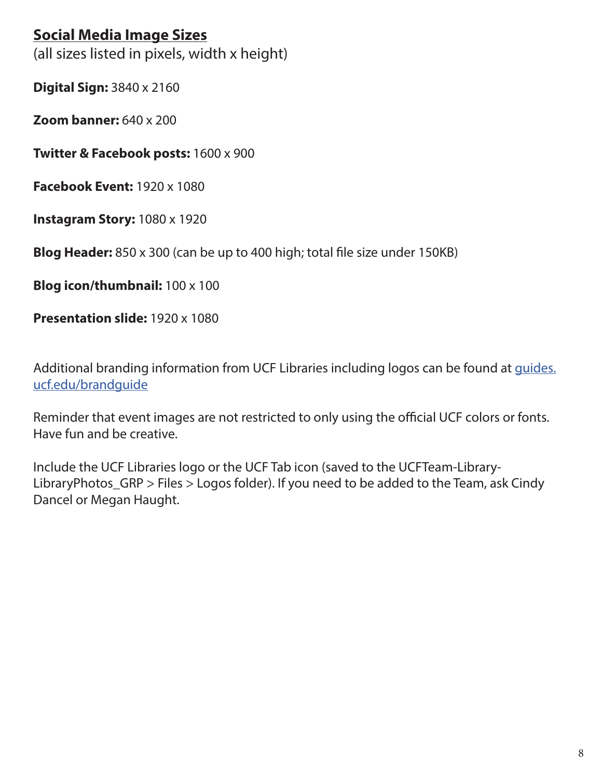#### **Social Media Image Sizes**

(all sizes listed in pixels, width x height)

**Digital Sign:** 3840 x 2160

**Zoom banner:** 640 x 200

**Twitter & Facebook posts:** 1600 x 900

**Facebook Event:** 1920 x 1080

**Instagram Story:** 1080 x 1920

**Blog Header:** 850 x 300 (can be up to 400 high; total file size under 150KB)

**Blog icon/thumbnail:** 100 x 100

**Presentation slide:** 1920 x 1080

Additional branding information from UCF Libraries including logos can be found at [guides.](https://guides.ucf.edu/BrandGuide) [ucf.edu/brandguide](https://guides.ucf.edu/BrandGuide)

Reminder that event images are not restricted to only using the official UCF colors or fonts. Have fun and be creative.

Include the UCF Libraries logo or the UCF Tab icon (saved to the UCFTeam-Library-LibraryPhotos\_GRP > Files > Logos folder). If you need to be added to the Team, ask Cindy Dancel or Megan Haught.